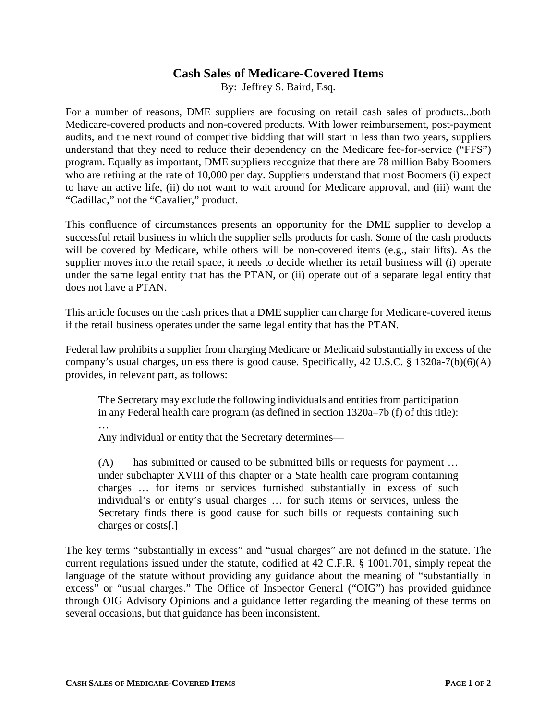## **Cash Sales of Medicare-Covered Items**

By: Jeffrey S. Baird, Esq.

For a number of reasons, DME suppliers are focusing on retail cash sales of products...both Medicare-covered products and non-covered products. With lower reimbursement, post-payment audits, and the next round of competitive bidding that will start in less than two years, suppliers understand that they need to reduce their dependency on the Medicare fee-for-service ("FFS") program. Equally as important, DME suppliers recognize that there are 78 million Baby Boomers who are retiring at the rate of 10,000 per day. Suppliers understand that most Boomers (i) expect to have an active life, (ii) do not want to wait around for Medicare approval, and (iii) want the "Cadillac," not the "Cavalier," product.

This confluence of circumstances presents an opportunity for the DME supplier to develop a successful retail business in which the supplier sells products for cash. Some of the cash products will be covered by Medicare, while others will be non-covered items (e.g., stair lifts). As the supplier moves into the retail space, it needs to decide whether its retail business will (i) operate under the same legal entity that has the PTAN, or (ii) operate out of a separate legal entity that does not have a PTAN.

This article focuses on the cash prices that a DME supplier can charge for Medicare-covered items if the retail business operates under the same legal entity that has the PTAN.

Federal law prohibits a supplier from charging Medicare or Medicaid substantially in excess of the company's usual charges, unless there is good cause. Specifically, 42 U.S.C. § 1320a-7(b)(6)(A) provides, in relevant part, as follows:

The Secretary may exclude the following individuals and entities from participation in any Federal health care program (as defined in section 1320a–7b (f) of this title):

… Any individual or entity that the Secretary determines—

(A) has submitted or caused to be submitted bills or requests for payment … under subchapter XVIII of this chapter or a State health care program containing charges … for items or services furnished substantially in excess of such individual's or entity's usual charges … for such items or services, unless the Secretary finds there is good cause for such bills or requests containing such charges or costs[.]

The key terms "substantially in excess" and "usual charges" are not defined in the statute. The current regulations issued under the statute, codified at 42 C.F.R. § 1001.701, simply repeat the language of the statute without providing any guidance about the meaning of "substantially in excess" or "usual charges." The Office of Inspector General ("OIG") has provided guidance through OIG Advisory Opinions and a guidance letter regarding the meaning of these terms on several occasions, but that guidance has been inconsistent.